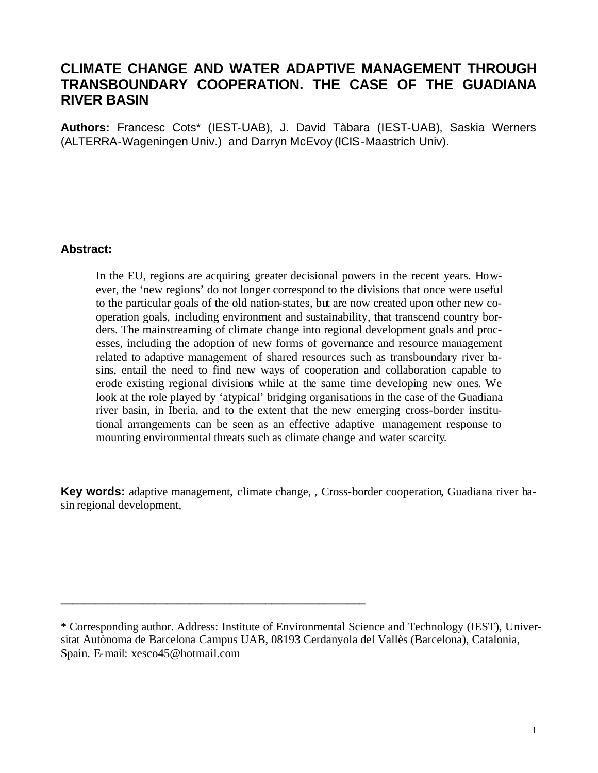# **CLIMATE CHANGE AND WATER ADAPTIVE MANAGEMENT THROUGH TRANSBOUNDARY COOPERATION. THE CASE OF THE GUADIANA RIVER BASIN**

**Authors:** Francesc Cots\* (IEST-UAB), J. David Tàbara (IEST-UAB), Saskia Werners (ALTERRA-Wageningen Univ.) and Darryn McEvoy (ICIS-Maastrich Univ).

#### **Abstract:**

In the EU, regions are acquiring greater decisional powers in the recent years. However, the 'new regions' do not longer correspond to the divisions that once were useful to the particular goals of the old nation-states, but are now created upon other new cooperation goals, including environment and sustainability, that transcend country borders. The mainstreaming of climate change into regional development goals and processes, including the adoption of new forms of governance and resource management related to adaptive management of shared resources such as transboundary river basins, entail the need to find new ways of cooperation and collaboration capable to erode existing regional divisions while at the same time developing new ones. We look at the role played by 'atypical' bridging organisations in the case of the Guadiana river basin, in Iberia, and to the extent that the new emerging cross-border institutional arrangements can be seen as an effective adaptive management response to mounting environmental threats such as climate change and water scarcity.

**Key words:** adaptive management, climate change, , Cross-border cooperation, Guadiana river basin regional development,

**\_\_\_\_\_\_\_\_\_\_\_\_\_\_\_\_\_\_\_\_\_\_\_\_\_\_\_\_\_\_\_\_\_\_\_\_\_\_\_\_\_\_\_\_\_\_\_\_\_\_\_\_** 

<sup>\*</sup> Corresponding author. Address: Institute of Environmental Science and Technology (IEST), Universitat Autònoma de Barcelona Campus UAB, 08193 Cerdanyola del Vallès (Barcelona), Catalonia, Spain. E-mail: xesco45@hotmail.com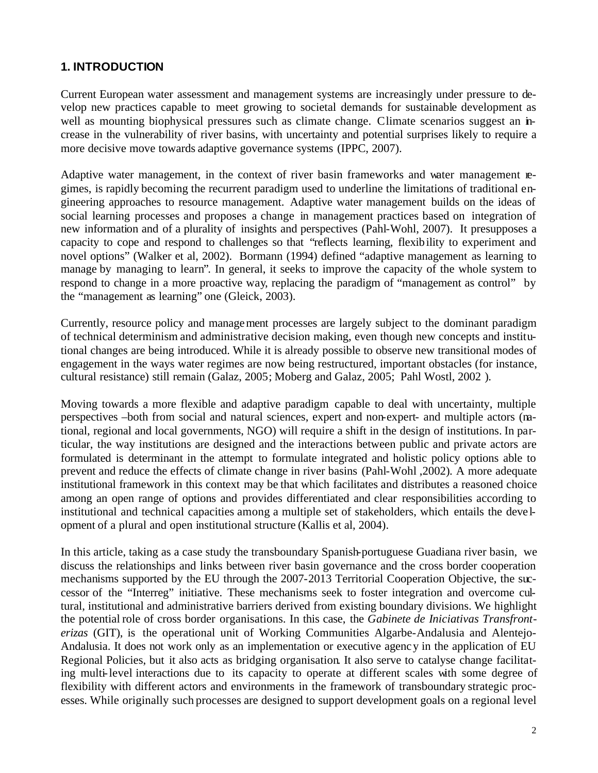# **1. INTRODUCTION**

Current European water assessment and management systems are increasingly under pressure to develop new practices capable to meet growing to societal demands for sustainable development as well as mounting biophysical pressures such as climate change. Climate scenarios suggest an increase in the vulnerability of river basins, with uncertainty and potential surprises likely to require a more decisive move towards adaptive governance systems (IPPC, 2007).

Adaptive water management, in the context of river basin frameworks and water management regimes, is rapidly becoming the recurrent paradigm used to underline the limitations of traditional engineering approaches to resource management. Adaptive water management builds on the ideas of social learning processes and proposes a change in management practices based on integration of new information and of a plurality of insights and perspectives (Pahl-Wohl, 2007). It presupposes a capacity to cope and respond to challenges so that "reflects learning, flexibility to experiment and novel options" (Walker et al, 2002). Bormann (1994) defined "adaptive management as learning to manage by managing to learn". In general, it seeks to improve the capacity of the whole system to respond to change in a more proactive way, replacing the paradigm of "management as control" by the "management as learning" one (Gleick, 2003).

Currently, resource policy and management processes are largely subject to the dominant paradigm of technical determinism and administrative decision making, even though new concepts and institutional changes are being introduced. While it is already possible to observe new transitional modes of engagement in the ways water regimes are now being restructured, important obstacles (for instance, cultural resistance) still remain (Galaz, 2005; Moberg and Galaz, 2005; Pahl Wostl, 2002 ).

Moving towards a more flexible and adaptive paradigm capable to deal with uncertainty, multiple perspectives –both from social and natural sciences, expert and non-expert- and multiple actors (national, regional and local governments, NGO) will require a shift in the design of institutions. In particular, the way institutions are designed and the interactions between public and private actors are formulated is determinant in the attempt to formulate integrated and holistic policy options able to prevent and reduce the effects of climate change in river basins (Pahl-Wohl ,2002). A more adequate institutional framework in this context may be that which facilitates and distributes a reasoned choice among an open range of options and provides differentiated and clear responsibilities according to institutional and technical capacities among a multiple set of stakeholders, which entails the deve lopment of a plural and open institutional structure (Kallis et al, 2004).

In this article, taking as a case study the transboundary Spanish-portuguese Guadiana river basin, we discuss the relationships and links between river basin governance and the cross border cooperation mechanisms supported by the EU through the 2007-2013 Territorial Cooperation Objective, the successor of the "Interreg" initiative. These mechanisms seek to foster integration and overcome cultural, institutional and administrative barriers derived from existing boundary divisions. We highlight the potential role of cross border organisations. In this case, the *Gabinete de Iniciativas Transfronterizas* (GIT), is the operational unit of Working Communities Algarbe-Andalusia and Alentejo-Andalusia. It does not work only as an implementation or executive agency in the application of EU Regional Policies, but it also acts as bridging organisation. It also serve to catalyse change facilitating multi-level interactions due to its capacity to operate at different scales with some degree of flexibility with different actors and environments in the framework of transboundary strategic processes. While originally such processes are designed to support development goals on a regional level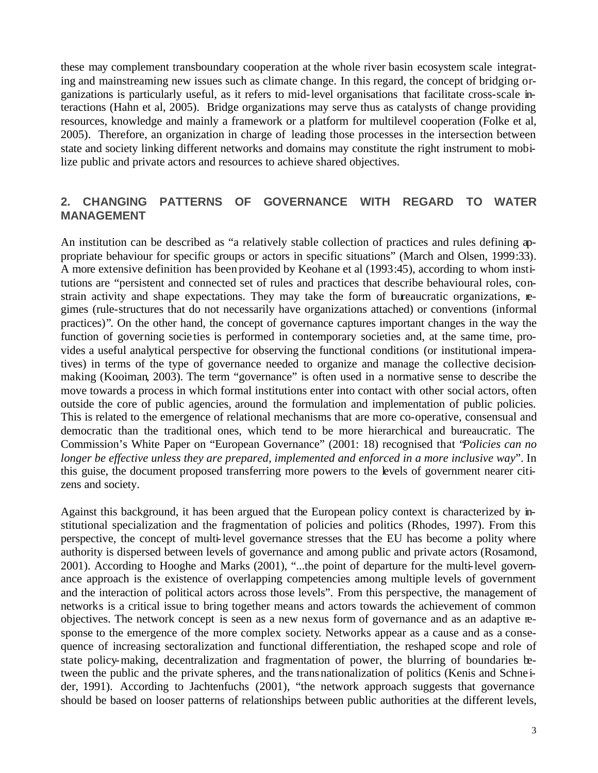these may complement transboundary cooperation at the whole river basin ecosystem scale integrating and mainstreaming new issues such as climate change. In this regard, the concept of bridging organizations is particularly useful, as it refers to mid-level organisations that facilitate cross-scale interactions (Hahn et al, 2005). Bridge organizations may serve thus as catalysts of change providing resources, knowledge and mainly a framework or a platform for multilevel cooperation (Folke et al, 2005). Therefore, an organization in charge of leading those processes in the intersection between state and society linking different networks and domains may constitute the right instrument to mobilize public and private actors and resources to achieve shared objectives.

### **2. CHANGING PATTERNS OF GOVERNANCE WITH REGARD TO WATER MANAGEMENT**

An institution can be described as "a relatively stable collection of practices and rules defining appropriate behaviour for specific groups or actors in specific situations" (March and Olsen, 1999:33). A more extensive definition has been provided by Keohane et al (1993:45), according to whom institutions are "persistent and connected set of rules and practices that describe behavioural roles, constrain activity and shape expectations. They may take the form of bureaucratic organizations, regimes (rule-structures that do not necessarily have organizations attached) or conventions (informal practices)". On the other hand, the concept of governance captures important changes in the way the function of governing societies is performed in contemporary societies and, at the same time, provides a useful analytical perspective for observing the functional conditions (or institutional imperatives) in terms of the type of governance needed to organize and manage the collective decisionmaking (Kooiman, 2003). The term "governance" is often used in a normative sense to describe the move towards a process in which formal institutions enter into contact with other social actors, often outside the core of public agencies, around the formulation and implementation of public policies. This is related to the emergence of relational mechanisms that are more co-operative, consensual and democratic than the traditional ones, which tend to be more hierarchical and bureaucratic. The Commission's White Paper on "European Governance" (2001: 18) recognised that "*Policies can no longer be effective unless they are prepared, implemented and enforced in a more inclusive way*". In this guise, the document proposed transferring more powers to the levels of government nearer citizens and society.

Against this background, it has been argued that the European policy context is characterized by institutional specialization and the fragmentation of policies and politics (Rhodes, 1997). From this perspective, the concept of multi-level governance stresses that the EU has become a polity where authority is dispersed between levels of governance and among public and private actors (Rosamond, 2001). According to Hooghe and Marks (2001), "...the point of departure for the multi-level governance approach is the existence of overlapping competencies among multiple levels of government and the interaction of political actors across those levels". From this perspective, the management of networks is a critical issue to bring together means and actors towards the achievement of common objectives. The network concept is seen as a new nexus form of governance and as an adaptive response to the emergence of the more complex society. Networks appear as a cause and as a consequence of increasing sectoralization and functional differentiation, the reshaped scope and role of state policy-making, decentralization and fragmentation of power, the blurring of boundaries between the public and the private spheres, and the transnationalization of politics (Kenis and Schne ider, 1991). According to Jachtenfuchs (2001), "the network approach suggests that governance should be based on looser patterns of relationships between public authorities at the different levels,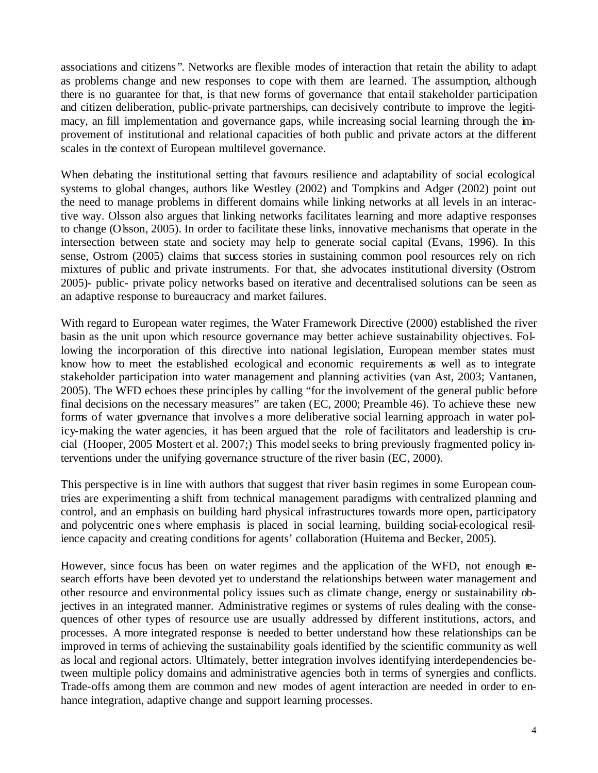associations and citizens ". Networks are flexible modes of interaction that retain the ability to adapt as problems change and new responses to cope with them are learned. The assumption, although there is no guarantee for that, is that new forms of governance that entail stakeholder participation and citizen deliberation, public-private partnerships, can decisively contribute to improve the legitimacy, an fill implementation and governance gaps, while increasing social learning through the improvement of institutional and relational capacities of both public and private actors at the different scales in the context of European multilevel governance.

When debating the institutional setting that favours resilience and adaptability of social ecological systems to global changes, authors like Westley (2002) and Tompkins and Adger (2002) point out the need to manage problems in different domains while linking networks at all levels in an interactive way. Olsson also argues that linking networks facilitates learning and more adaptive responses to change (Olsson, 2005). In order to facilitate these links, innovative mechanisms that operate in the intersection between state and society may help to generate social capital (Evans, 1996). In this sense, Ostrom (2005) claims that success stories in sustaining common pool resources rely on rich mixtures of public and private instruments. For that, she advocates institutional diversity (Ostrom 2005)- public- private policy networks based on iterative and decentralised solutions can be seen as an adaptive response to bureaucracy and market failures.

With regard to European water regimes, the Water Framework Directive (2000) established the river basin as the unit upon which resource governance may better achieve sustainability objectives. Following the incorporation of this directive into national legislation, European member states must know how to meet the established ecological and economic requirements as well as to integrate stakeholder participation into water management and planning activities (van Ast, 2003; Vantanen, 2005). The WFD echoes these principles by calling "for the involvement of the general public before final decisions on the necessary measures" are taken (EC, 2000; Preamble 46). To achieve these new forms of water governance that involves a more deliberative social learning approach in water policy-making the water agencies, it has been argued that the role of facilitators and leadership is crucial (Hooper, 2005 Mostert et al. 2007;) This model seeks to bring previously fragmented policy interventions under the unifying governance structure of the river basin (EC, 2000).

This perspective is in line with authors that suggest that river basin regimes in some European countries are experimenting a shift from technical management paradigms with centralized planning and control, and an emphasis on building hard physical infrastructures towards more open, participatory and polycentric one s where emphasis is placed in social learning, building social-ecological resilience capacity and creating conditions for agents' collaboration (Huitema and Becker, 2005).

However, since focus has been on water regimes and the application of the WFD, not enough research efforts have been devoted yet to understand the relationships between water management and other resource and environmental policy issues such as climate change, energy or sustainability objectives in an integrated manner. Administrative regimes or systems of rules dealing with the consequences of other types of resource use are usually addressed by different institutions, actors, and processes. A more integrated response is needed to better understand how these relationships can be improved in terms of achieving the sustainability goals identified by the scientific community as well as local and regional actors. Ultimately, better integration involves identifying interdependencies between multiple policy domains and administrative agencies both in terms of synergies and conflicts. Trade-offs among them are common and new modes of agent interaction are needed in order to enhance integration, adaptive change and support learning processes.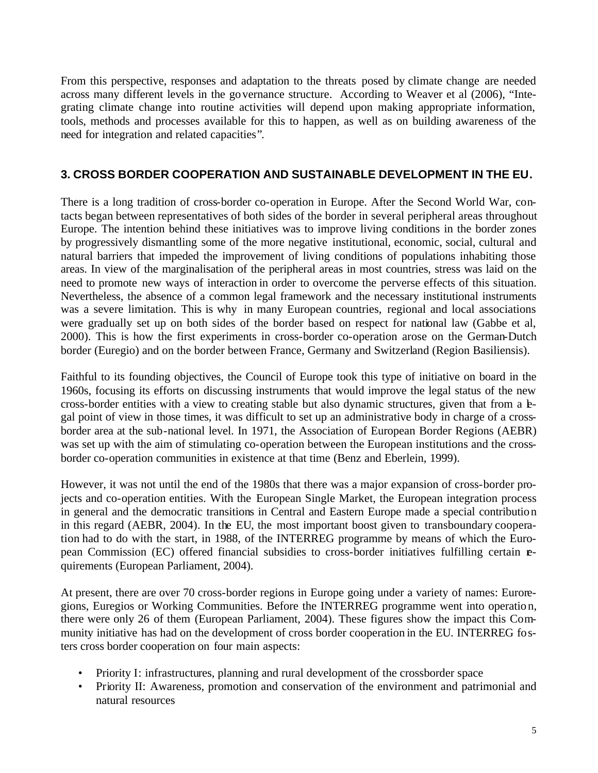From this perspective, responses and adaptation to the threats posed by climate change are needed across many different levels in the governance structure. According to Weaver et al (2006), "Integrating climate change into routine activities will depend upon making appropriate information, tools, methods and processes available for this to happen, as well as on building awareness of the need for integration and related capacities".

### **3. CROSS BORDER COOPERATION AND SUSTAINABLE DEVELOPMENT IN THE EU.**

There is a long tradition of cross-border co-operation in Europe. After the Second World War, contacts began between representatives of both sides of the border in several peripheral areas throughout Europe. The intention behind these initiatives was to improve living conditions in the border zones by progressively dismantling some of the more negative institutional, economic, social, cultural and natural barriers that impeded the improvement of living conditions of populations inhabiting those areas. In view of the marginalisation of the peripheral areas in most countries, stress was laid on the need to promote new ways of interaction in order to overcome the perverse effects of this situation. Nevertheless, the absence of a common legal framework and the necessary institutional instruments was a severe limitation. This is why in many European countries, regional and local associations were gradually set up on both sides of the border based on respect for national law (Gabbe et al, 2000). This is how the first experiments in cross-border co-operation arose on the German-Dutch border (Euregio) and on the border between France, Germany and Switzerland (Region Basiliensis).

Faithful to its founding objectives, the Council of Europe took this type of initiative on board in the 1960s, focusing its efforts on discussing instruments that would improve the legal status of the new cross-border entities with a view to creating stable but also dynamic structures, given that from a kgal point of view in those times, it was difficult to set up an administrative body in charge of a crossborder area at the sub-national level. In 1971, the Association of European Border Regions (AEBR) was set up with the aim of stimulating co-operation between the European institutions and the crossborder co-operation communities in existence at that time (Benz and Eberlein, 1999).

However, it was not until the end of the 1980s that there was a major expansion of cross-border projects and co-operation entities. With the European Single Market, the European integration process in general and the democratic transitions in Central and Eastern Europe made a special contribution in this regard (AEBR, 2004). In the EU, the most important boost given to transboundary cooperation had to do with the start, in 1988, of the INTERREG programme by means of which the European Commission (EC) offered financial subsidies to cross-border initiatives fulfilling certain requirements (European Parliament, 2004).

At present, there are over 70 cross-border regions in Europe going under a variety of names: Euroregions, Euregios or Working Communities. Before the INTERREG programme went into operation, there were only 26 of them (European Parliament, 2004). These figures show the impact this Community initiative has had on the development of cross border cooperation in the EU. INTERREG fosters cross border cooperation on four main aspects:

- Priority I: infrastructures, planning and rural development of the crossborder space
- Priority II: Awareness, promotion and conservation of the environment and patrimonial and natural resources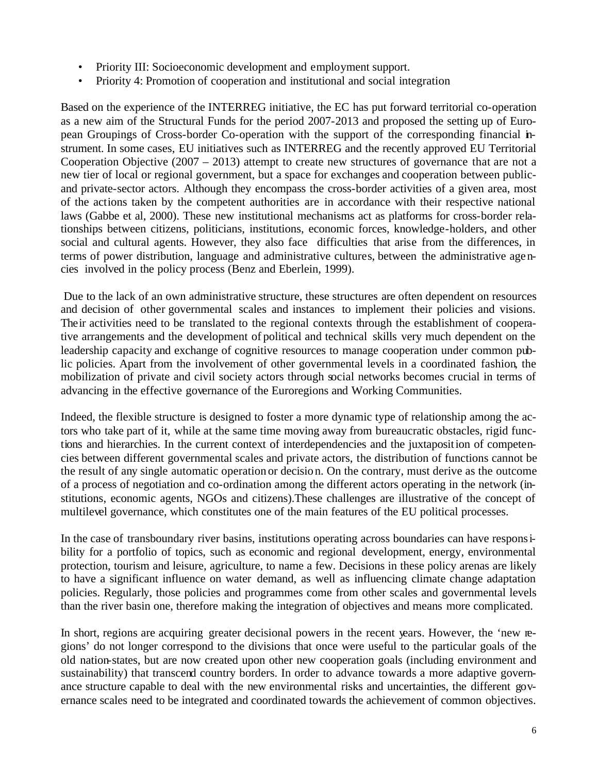- Priority III: Socioeconomic development and employment support.
- Priority 4: Promotion of cooperation and institutional and social integration

Based on the experience of the INTERREG initiative, the EC has put forward territorial co-operation as a new aim of the Structural Funds for the period 2007-2013 and proposed the setting up of European Groupings of Cross-border Co-operation with the support of the corresponding financial instrument. In some cases, EU initiatives such as INTERREG and the recently approved EU Territorial Cooperation Objective (2007 – 2013) attempt to create new structures of governance that are not a new tier of local or regional government, but a space for exchanges and cooperation between publicand private-sector actors. Although they encompass the cross-border activities of a given area, most of the actions taken by the competent authorities are in accordance with their respective national laws (Gabbe et al, 2000). These new institutional mechanisms act as platforms for cross-border relationships between citizens, politicians, institutions, economic forces, knowledge-holders, and other social and cultural agents. However, they also face difficulties that arise from the differences, in terms of power distribution, language and administrative cultures, between the administrative agencies involved in the policy process (Benz and Eberlein, 1999).

Due to the lack of an own administrative structure, these structures are often dependent on resources and decision of other governmental scales and instances to implement their policies and visions. Their activities need to be translated to the regional contexts through the establishment of cooperative arrangements and the development of political and technical skills very much dependent on the leadership capacity and exchange of cognitive resources to manage cooperation under common public policies. Apart from the involvement of other governmental levels in a coordinated fashion, the mobilization of private and civil society actors through social networks becomes crucial in terms of advancing in the effective governance of the Euroregions and Working Communities.

Indeed, the flexible structure is designed to foster a more dynamic type of relationship among the actors who take part of it, while at the same time moving away from bureaucratic obstacles, rigid functions and hierarchies. In the current context of interdependencies and the juxtaposition of competencies between different governmental scales and private actors, the distribution of functions cannot be the result of any single automatic operation or decision. On the contrary, must derive as the outcome of a process of negotiation and co-ordination among the different actors operating in the network (institutions, economic agents, NGOs and citizens).These challenges are illustrative of the concept of multilevel governance, which constitutes one of the main features of the EU political processes.

In the case of transboundary river basins, institutions operating across boundaries can have responsibility for a portfolio of topics, such as economic and regional development, energy, environmental protection, tourism and leisure, agriculture, to name a few. Decisions in these policy arenas are likely to have a significant influence on water demand, as well as influencing climate change adaptation policies. Regularly, those policies and programmes come from other scales and governmental levels than the river basin one, therefore making the integration of objectives and means more complicated.

In short, regions are acquiring greater decisional powers in the recent years. However, the 'new regions' do not longer correspond to the divisions that once were useful to the particular goals of the old nation-states, but are now created upon other new cooperation goals (including environment and sustainability) that transcend country borders. In order to advance towards a more adaptive governance structure capable to deal with the new environmental risks and uncertainties, the different governance scales need to be integrated and coordinated towards the achievement of common objectives.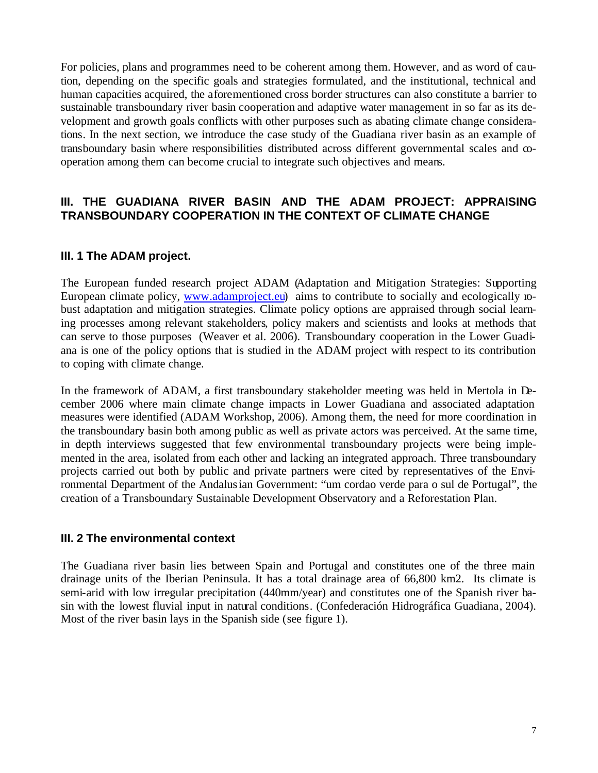For policies, plans and programmes need to be coherent among them. However, and as word of caution, depending on the specific goals and strategies formulated, and the institutional, technical and human capacities acquired, the aforementioned cross border structures can also constitute a barrier to sustainable transboundary river basin cooperation and adaptive water management in so far as its development and growth goals conflicts with other purposes such as abating climate change considerations. In the next section, we introduce the case study of the Guadiana river basin as an example of transboundary basin where responsibilities distributed across different governmental scales and cooperation among them can become crucial to integrate such objectives and means.

# **III. THE GUADIANA RIVER BASIN AND THE ADAM PROJECT: APPRAISING TRANSBOUNDARY COOPERATION IN THE CONTEXT OF CLIMATE CHANGE**

## **III. 1 The ADAM project.**

The European funded research project ADAM (Adaptation and Mitigation Strategies: Supporting European climate policy, www.adamproject.eu) aims to contribute to socially and ecologically robust adaptation and mitigation strategies. Climate policy options are appraised through social learning processes among relevant stakeholders, policy makers and scientists and looks at methods that can serve to those purposes (Weaver et al. 2006). Transboundary cooperation in the Lower Guadiana is one of the policy options that is studied in the ADAM project with respect to its contribution to coping with climate change.

In the framework of ADAM, a first transboundary stakeholder meeting was held in Mertola in December 2006 where main climate change impacts in Lower Guadiana and associated adaptation measures were identified (ADAM Workshop, 2006). Among them, the need for more coordination in the transboundary basin both among public as well as private actors was perceived. At the same time, in depth interviews suggested that few environmental transboundary projects were being implemented in the area, isolated from each other and lacking an integrated approach. Three transboundary projects carried out both by public and private partners were cited by representatives of the Environmental Department of the Andalusian Government: "um cordao verde para o sul de Portugal", the creation of a Transboundary Sustainable Development Observatory and a Reforestation Plan.

### **III. 2 The environmental context**

The Guadiana river basin lies between Spain and Portugal and constitutes one of the three main drainage units of the Iberian Peninsula. It has a total drainage area of 66,800 km2. Its climate is semi-arid with low irregular precipitation (440mm/year) and constitutes one of the Spanish river basin with the lowest fluvial input in natural conditions. (Confederación Hidrográfica Guadiana, 2004). Most of the river basin lays in the Spanish side (see figure 1).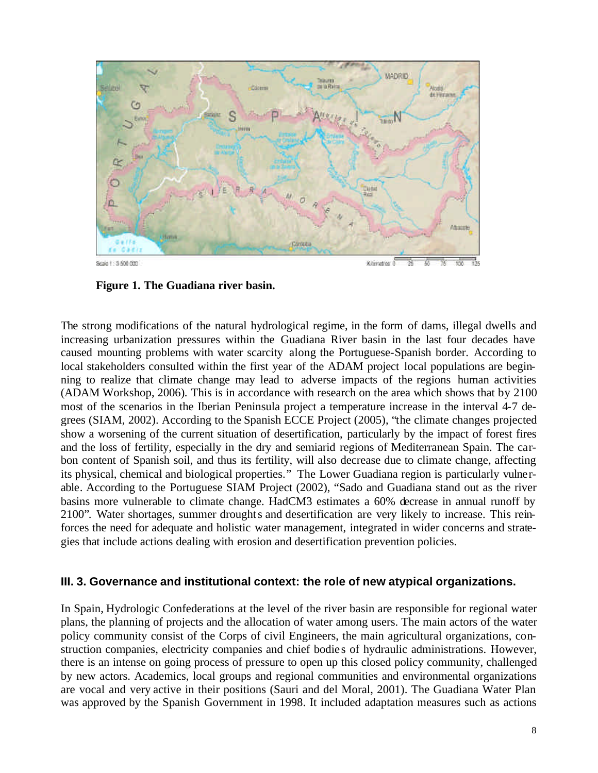

**Figure 1. The Guadiana river basin.** 

The strong modifications of the natural hydrological regime, in the form of dams, illegal dwells and increasing urbanization pressures within the Guadiana River basin in the last four decades have caused mounting problems with water scarcity along the Portuguese-Spanish border. According to local stakeholders consulted within the first year of the ADAM project local populations are beginning to realize that climate change may lead to adverse impacts of the regions human activities (ADAM Workshop, 2006). This is in accordance with research on the area which shows that by 2100 most of the scenarios in the Iberian Peninsula project a temperature increase in the interval 4-7 degrees (SIAM, 2002). According to the Spanish ECCE Project (2005), "the climate changes projected show a worsening of the current situation of desertification, particularly by the impact of forest fires and the loss of fertility, especially in the dry and semiarid regions of Mediterranean Spain. The carbon content of Spanish soil, and thus its fertility, will also decrease due to climate change, affecting its physical, chemical and biological properties." The Lower Guadiana region is particularly vulnerable. According to the Portuguese SIAM Project (2002), "Sado and Guadiana stand out as the river basins more vulnerable to climate change. HadCM3 estimates a 60% decrease in annual runoff by 2100". Water shortages, summer droughts and desertification are very likely to increase. This reinforces the need for adequate and holistic water management, integrated in wider concerns and strategies that include actions dealing with erosion and desertification prevention policies.

#### **III. 3. Governance and institutional context: the role of new atypical organizations.**

In Spain, Hydrologic Confederations at the level of the river basin are responsible for regional water plans, the planning of projects and the allocation of water among users. The main actors of the water policy community consist of the Corps of civil Engineers, the main agricultural organizations, construction companies, electricity companies and chief bodie s of hydraulic administrations. However, there is an intense on going process of pressure to open up this closed policy community, challenged by new actors. Academics, local groups and regional communities and environmental organizations are vocal and very active in their positions (Sauri and del Moral, 2001). The Guadiana Water Plan was approved by the Spanish Government in 1998. It included adaptation measures such as actions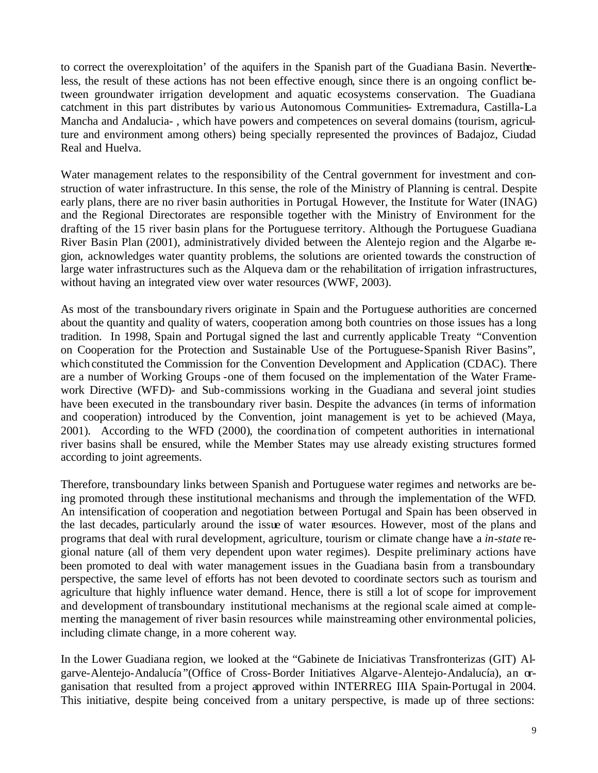to correct the overexploitation' of the aquifers in the Spanish part of the Guadiana Basin. Nevertheless, the result of these actions has not been effective enough, since there is an ongoing conflict between groundwater irrigation development and aquatic ecosystems conservation. The Guadiana catchment in this part distributes by various Autonomous Communities- Extremadura, Castilla-La Mancha and Andalucia- , which have powers and competences on several domains (tourism, agriculture and environment among others) being specially represented the provinces of Badajoz, Ciudad Real and Huelva.

Water management relates to the responsibility of the Central government for investment and construction of water infrastructure. In this sense, the role of the Ministry of Planning is central. Despite early plans, there are no river basin authorities in Portugal. However, the Institute for Water (INAG) and the Regional Directorates are responsible together with the Ministry of Environment for the drafting of the 15 river basin plans for the Portuguese territory. Although the Portuguese Guadiana River Basin Plan (2001), administratively divided between the Alentejo region and the Algarbe region, acknowledges water quantity problems, the solutions are oriented towards the construction of large water infrastructures such as the Alqueva dam or the rehabilitation of irrigation infrastructures, without having an integrated view over water resources (WWF, 2003).

As most of the transboundary rivers originate in Spain and the Portuguese authorities are concerned about the quantity and quality of waters, cooperation among both countries on those issues has a long tradition. In 1998, Spain and Portugal signed the last and currently applicable Treaty "Convention on Cooperation for the Protection and Sustainable Use of the Portuguese-Spanish River Basins", which constituted the Commission for the Convention Development and Application (CDAC). There are a number of Working Groups -one of them focused on the implementation of the Water Framework Directive (WFD)- and Sub-commissions working in the Guadiana and several joint studies have been executed in the transboundary river basin. Despite the advances (in terms of information and cooperation) introduced by the Convention, joint management is yet to be achieved (Maya, 2001). According to the WFD (2000), the coordina tion of competent authorities in international river basins shall be ensured, while the Member States may use already existing structures formed according to joint agreements.

Therefore, transboundary links between Spanish and Portuguese water regimes and networks are being promoted through these institutional mechanisms and through the implementation of the WFD. An intensification of cooperation and negotiation between Portugal and Spain has been observed in the last decades, particularly around the issue of water resources. However, most of the plans and programs that deal with rural development, agriculture, tourism or climate change have a *in-state* regional nature (all of them very dependent upon water regimes). Despite preliminary actions have been promoted to deal with water management issues in the Guadiana basin from a transboundary perspective, the same level of efforts has not been devoted to coordinate sectors such as tourism and agriculture that highly influence water demand. Hence, there is still a lot of scope for improvement and development of transboundary institutional mechanisms at the regional scale aimed at complementing the management of river basin resources while mainstreaming other environmental policies, including climate change, in a more coherent way.

In the Lower Guadiana region, we looked at the "Gabinete de Iniciativas Transfronterizas (GIT) Algarve-Alentejo-Andalucía "(Office of Cross-Border Initiatives Algarve-Alentejo-Andalucía), an organisation that resulted from a project approved within INTERREG IIIA Spain-Portugal in 2004. This initiative, despite being conceived from a unitary perspective, is made up of three sections: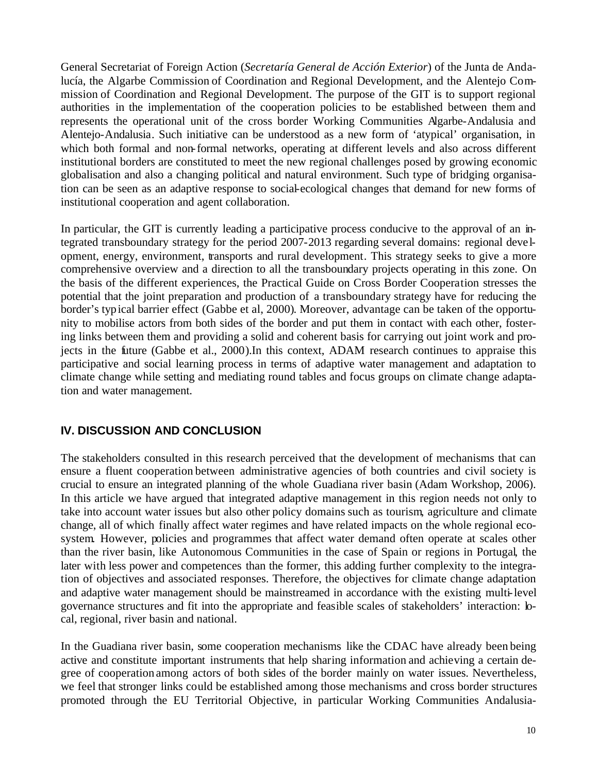General Secretariat of Foreign Action (*Secretaría General de Acción Exterior*) of the Junta de Andalucía, the Algarbe Commission of Coordination and Regional Development, and the Alentejo Commission of Coordination and Regional Development. The purpose of the GIT is to support regional authorities in the implementation of the cooperation policies to be established between them and represents the operational unit of the cross border Working Communities Algarbe-Andalusia and Alentejo-Andalusia. Such initiative can be understood as a new form of 'atypical' organisation, in which both formal and non-formal networks, operating at different levels and also across different institutional borders are constituted to meet the new regional challenges posed by growing economic globalisation and also a changing political and natural environment. Such type of bridging organisation can be seen as an adaptive response to social-ecological changes that demand for new forms of institutional cooperation and agent collaboration.

In particular, the GIT is currently leading a participative process conducive to the approval of an integrated transboundary strategy for the period 2007-2013 regarding several domains: regional deve lopment, energy, environment, transports and rural development. This strategy seeks to give a more comprehensive overview and a direction to all the transboundary projects operating in this zone. On the basis of the different experiences, the Practical Guide on Cross Border Cooperation stresses the potential that the joint preparation and production of a transboundary strategy have for reducing the border's typical barrier effect (Gabbe et al, 2000). Moreover, advantage can be taken of the opportunity to mobilise actors from both sides of the border and put them in contact with each other, fostering links between them and providing a solid and coherent basis for carrying out joint work and projects in the future (Gabbe et al., 2000).In this context, ADAM research continues to appraise this participative and social learning process in terms of adaptive water management and adaptation to climate change while setting and mediating round tables and focus groups on climate change adaptation and water management.

# **IV. DISCUSSION AND CONCLUSION**

The stakeholders consulted in this research perceived that the development of mechanisms that can ensure a fluent cooperation between administrative agencies of both countries and civil society is crucial to ensure an integrated planning of the whole Guadiana river basin (Adam Workshop, 2006). In this article we have argued that integrated adaptive management in this region needs not only to take into account water issues but also other policy domains such as tourism, agriculture and climate change, all of which finally affect water regimes and have related impacts on the whole regional ecosystem. However, policies and programmes that affect water demand often operate at scales other than the river basin, like Autonomous Communities in the case of Spain or regions in Portugal, the later with less power and competences than the former, this adding further complexity to the integration of objectives and associated responses. Therefore, the objectives for climate change adaptation and adaptive water management should be mainstreamed in accordance with the existing multi-level governance structures and fit into the appropriate and feasible scales of stakeholders' interaction: local, regional, river basin and national.

In the Guadiana river basin, some cooperation mechanisms like the CDAC have already been being active and constitute important instruments that help sharing information and achieving a certain degree of cooperation among actors of both sides of the border mainly on water issues. Nevertheless, we feel that stronger links could be established among those mechanisms and cross border structures promoted through the EU Territorial Objective, in particular Working Communities Andalusia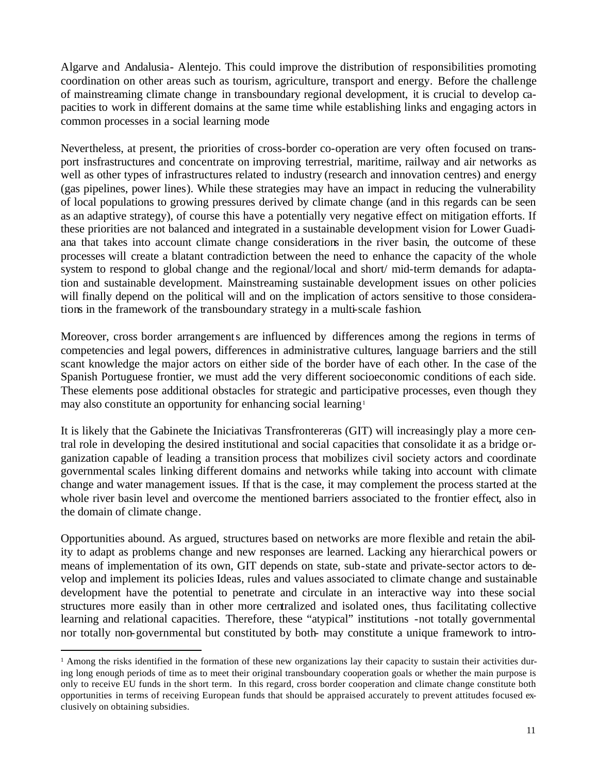Algarve and Andalusia- Alentejo. This could improve the distribution of responsibilities promoting coordination on other areas such as tourism, agriculture, transport and energy. Before the challenge of mainstreaming climate change in transboundary regional development, it is crucial to develop capacities to work in different domains at the same time while establishing links and engaging actors in common processes in a social learning mode

Nevertheless, at present, the priorities of cross-border co-operation are very often focused on transport insfrastructures and concentrate on improving terrestrial, maritime, railway and air networks as well as other types of infrastructures related to industry (research and innovation centres) and energy (gas pipelines, power lines). While these strategies may have an impact in reducing the vulnerability of local populations to growing pressures derived by climate change (and in this regards can be seen as an adaptive strategy), of course this have a potentially very negative effect on mitigation efforts. If these priorities are not balanced and integrated in a sustainable development vision for Lower Guadiana that takes into account climate change considerations in the river basin, the outcome of these processes will create a blatant contradiction between the need to enhance the capacity of the whole system to respond to global change and the regional/local and short/ mid-term demands for adaptation and sustainable development. Mainstreaming sustainable development issues on other policies will finally depend on the political will and on the implication of actors sensitive to those considerations in the framework of the transboundary strategy in a multi-scale fashion.

Moreover, cross border arrangements are influenced by differences among the regions in terms of competencies and legal powers, differences in administrative cultures, language barriers and the still scant knowledge the major actors on either side of the border have of each other. In the case of the Spanish Portuguese frontier, we must add the very different socioeconomic conditions of each side. These elements pose additional obstacles for strategic and participative processes, even though they may also constitute an opportunity for enhancing social learning<sup>1</sup>

It is likely that the Gabinete the Iniciativas Transfrontereras (GIT) will increasingly play a more central role in developing the desired institutional and social capacities that consolidate it as a bridge organization capable of leading a transition process that mobilizes civil society actors and coordinate governmental scales linking different domains and networks while taking into account with climate change and water management issues. If that is the case, it may complement the process started at the whole river basin level and overcome the mentioned barriers associated to the frontier effect, also in the domain of climate change.

Opportunities abound. As argued, structures based on networks are more flexible and retain the ability to adapt as problems change and new responses are learned. Lacking any hierarchical powers or means of implementation of its own, GIT depends on state, sub-state and private-sector actors to develop and implement its policies Ideas, rules and values associated to climate change and sustainable development have the potential to penetrate and circulate in an interactive way into these social structures more easily than in other more centralized and isolated ones, thus facilitating collective learning and relational capacities. Therefore, these "atypical" institutions -not totally governmental nor totally non-governmental but constituted by both- may constitute a unique framework to intro-

 $\overline{a}$ 

<sup>&</sup>lt;sup>1</sup> Among the risks identified in the formation of these new organizations lay their capacity to sustain their activities during long enough periods of time as to meet their original transboundary cooperation goals or whether the main purpose is only to receive EU funds in the short term. In this regard, cross border cooperation and climate change constitute both opportunities in terms of receiving European funds that should be appraised accurately to prevent attitudes focused exclusively on obtaining subsidies.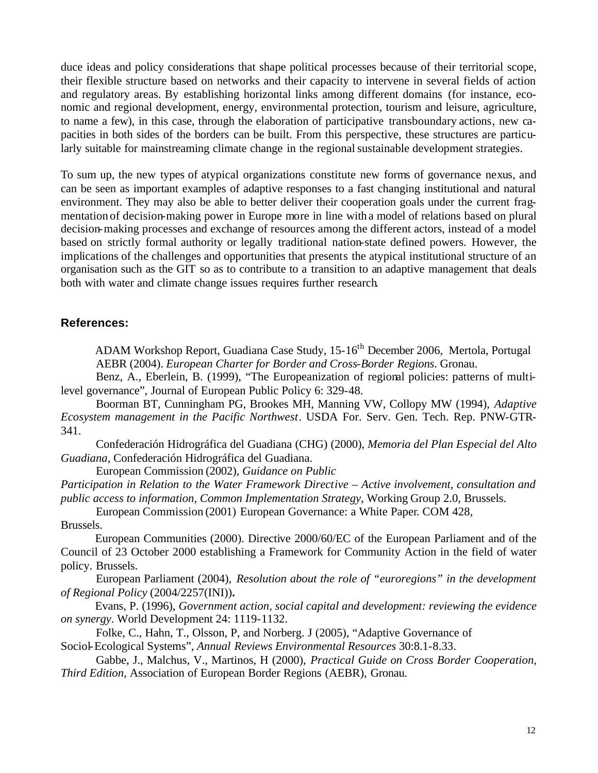duce ideas and policy considerations that shape political processes because of their territorial scope, their flexible structure based on networks and their capacity to intervene in several fields of action and regulatory areas. By establishing horizontal links among different domains (for instance, economic and regional development, energy, environmental protection, tourism and leisure, agriculture, to name a few), in this case, through the elaboration of participative transboundary actions, new capacities in both sides of the borders can be built. From this perspective, these structures are particularly suitable for mainstreaming climate change in the regional sustainable development strategies.

To sum up, the new types of atypical organizations constitute new forms of governance nexus, and can be seen as important examples of adaptive responses to a fast changing institutional and natural environment. They may also be able to better deliver their cooperation goals under the current fragmentation of decision-making power in Europe more in line with a model of relations based on plural decision-making processes and exchange of resources among the different actors, instead of a model based on strictly formal authority or legally traditional nation-state defined powers. However, the implications of the challenges and opportunities that presents the atypical institutional structure of an organisation such as the GIT so as to contribute to a transition to an adaptive management that deals both with water and climate change issues requires further research.

#### **References:**

ADAM Workshop Report, Guadiana Case Study, 15-16<sup>th</sup> December 2006, Mertola, Portugal AEBR (2004). *European Charter for Border and Cross-Border Regions*. Gronau.

Benz, A., Eberlein, B. (1999), "The Europeanization of regional policies: patterns of multilevel governance", Journal of European Public Policy 6: 329-48.

Boorman BT, Cunningham PG, Brookes MH, Manning VW, Collopy MW (1994), *Adaptive Ecosystem management in the Pacific Northwest*. USDA For. Serv. Gen. Tech. Rep. PNW-GTR-341.

Confederación Hidrográfica del Guadiana (CHG) (2000), *Memoria del Plan Especial del Alto Guadiana*, Confederación Hidrográfica del Guadiana.

European Commission (2002), *Guidance on Public* 

*Participation in Relation to the Water Framework Directive – Active involvement, consultation and public access to information, Common Implementation Strategy*, Working Group 2.0, Brussels.

European Commission (2001) European Governance: a White Paper. COM 428,

Brussels.

European Communities (2000). Directive 2000/60/EC of the European Parliament and of the Council of 23 October 2000 establishing a Framework for Community Action in the field of water policy. Brussels.

European Parliament (2004), *Resolution about the role of "euroregions" in the development of Regional Policy* (2004/2257(INI))**.**

Evans, P. (1996), *Government action, social capital and development: reviewing the evidence on synergy*. World Development 24: 1119-1132.

Folke, C., Hahn, T., Olsson, P, and Norberg. J (2005), "Adaptive Governance of Sociol-Ecological Systems", *Annual Reviews Environmental Resources* 30:8.1-8.33.

Gabbe, J., Malchus, V., Martinos, H (2000), *Practical Guide on Cross Border Cooperation, Third Edition*, Association of European Border Regions (AEBR), Gronau.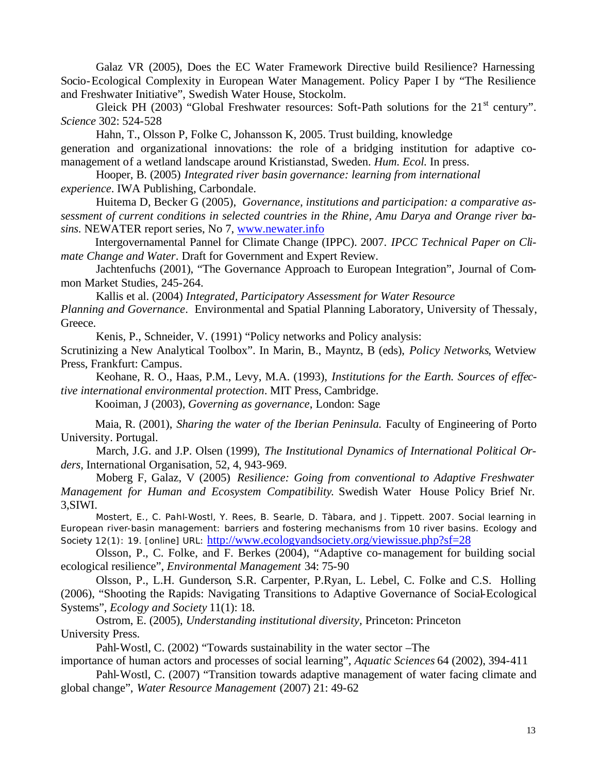Galaz VR (2005), Does the EC Water Framework Directive build Resilience? Harnessing Socio-Ecological Complexity in European Water Management. Policy Paper I by "The Resilience and Freshwater Initiative", Swedish Water House, Stockolm.

Gleick PH (2003) "Global Freshwater resources: Soft-Path solutions for the  $21<sup>st</sup>$  century". *Science* 302: 524-528

Hahn, T., Olsson P, Folke C, Johansson K, 2005. Trust building, knowledge

generation and organizational innovations: the role of a bridging institution for adaptive comanagement of a wetland landscape around Kristianstad, Sweden. *Hum. Ecol.* In press.

Hooper, B. (2005) *Integrated river basin governance: learning from international experience*. IWA Publishing, Carbondale.

Huitema D, Becker G (2005), *Governance, institutions and participation: a comparative assessment of current conditions in selected countries in the Rhine, Amu Darya and Orange river basins*. NEWATER report series, No 7, www.newater.info

Intergovernamental Pannel for Climate Change (IPPC). 2007. *IPCC Technical Paper on Climate Change and Water*. Draft for Government and Expert Review.

Jachtenfuchs (2001), "The Governance Approach to European Integration", Journal of Common Market Studies, 245-264.

Kallis et al. (2004) *Integrated, Participatory Assessment for Water Resource* 

*Planning and Governance*. Environmental and Spatial Planning Laboratory, University of Thessaly, Greece.

Kenis, P., Schneider, V. (1991) "Policy networks and Policy analysis:

Scrutinizing a New Analytical Toolbox". In Marin, B., Mayntz, B (eds), *Policy Networks,* Wetview Press, Frankfurt: Campus.

Keohane, R. O., Haas, P.M., Levy, M.A. (1993), *Institutions for the Earth. Sources of effective international environmental protection*. MIT Press, Cambridge.

Kooiman, J (2003), *Governing as governance*, London: Sage

Maia, R. (2001), *Sharing the water of the Iberian Peninsula.* Faculty of Engineering of Porto University. Portugal.

March, J.G. and J.P. Olsen (1999), *The Institutional Dynamics of International Political Orders,* International Organisation, 52, 4, 943-969.

Moberg F, Galaz, V (2005) *Resilience: Going from conventional to Adaptive Freshwater Management for Human and Ecosystem Compatibility*. Swedish Water House Policy Brief Nr. 3,SIWI.

Mostert, E., C. Pahl-Wostl, Y. Rees, B. Searle, D. Tàbara, and J. Tippett. 2007. Social learning in European river-basin management: barriers and fostering mechanisms from 10 river basins. *Ecology and Society* 12(1): 19. [online] URL: http://www.ecologyandsociety.org/viewissue.php?sf=28

Olsson, P., C. Folke, and F. Berkes (2004), "Adaptive co-management for building social ecological resilience", *Environmental Management* 34: 75-90

Olsson, P., L.H. Gunderson, S.R. Carpenter, P.Ryan, L. Lebel, C. Folke and C.S. Holling (2006), "Shooting the Rapids: Navigating Transitions to Adaptive Governance of Social-Ecological Systems", *Ecology and Society* 11(1): 18.

Ostrom, E. (2005), *Understanding institutional diversity,* Princeton: Princeton University Press.

Pahl-Wostl, C. (2002) "Towards sustainability in the water sector –The

importance of human actors and processes of social learning", *Aquatic Sciences* 64 (2002), 394-411

Pahl-Wostl, C. (2007) "Transition towards adaptive management of water facing climate and global change", *Water Resource Management* (2007) 21: 49-62